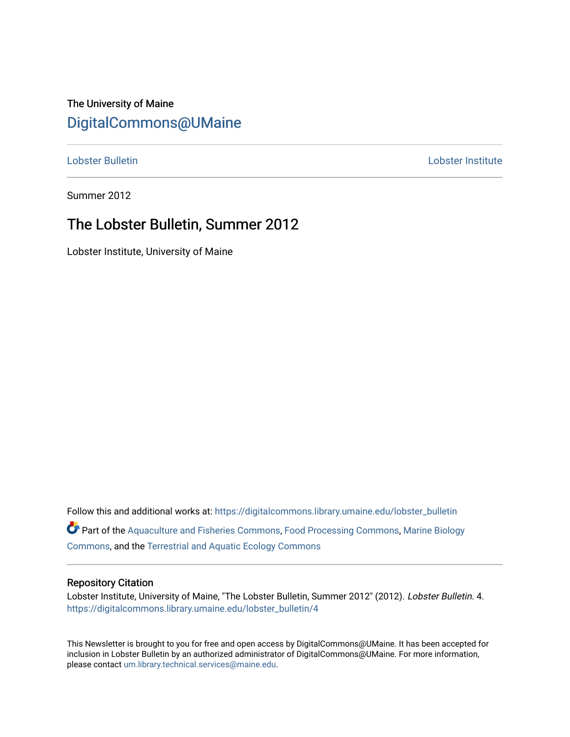# The University of Maine [DigitalCommons@UMaine](https://digitalcommons.library.umaine.edu/)

[Lobster Bulletin](https://digitalcommons.library.umaine.edu/lobster_bulletin) [Lobster Institute](https://digitalcommons.library.umaine.edu/lobster) 

Summer 2012

# The Lobster Bulletin, Summer 2012

Lobster Institute, University of Maine

Follow this and additional works at: [https://digitalcommons.library.umaine.edu/lobster\\_bulletin](https://digitalcommons.library.umaine.edu/lobster_bulletin?utm_source=digitalcommons.library.umaine.edu%2Flobster_bulletin%2F4&utm_medium=PDF&utm_campaign=PDFCoverPages) Part of the [Aquaculture and Fisheries Commons](http://network.bepress.com/hgg/discipline/78?utm_source=digitalcommons.library.umaine.edu%2Flobster_bulletin%2F4&utm_medium=PDF&utm_campaign=PDFCoverPages), [Food Processing Commons,](http://network.bepress.com/hgg/discipline/85?utm_source=digitalcommons.library.umaine.edu%2Flobster_bulletin%2F4&utm_medium=PDF&utm_campaign=PDFCoverPages) [Marine Biology](http://network.bepress.com/hgg/discipline/1126?utm_source=digitalcommons.library.umaine.edu%2Flobster_bulletin%2F4&utm_medium=PDF&utm_campaign=PDFCoverPages) [Commons](http://network.bepress.com/hgg/discipline/1126?utm_source=digitalcommons.library.umaine.edu%2Flobster_bulletin%2F4&utm_medium=PDF&utm_campaign=PDFCoverPages), and the [Terrestrial and Aquatic Ecology Commons](http://network.bepress.com/hgg/discipline/20?utm_source=digitalcommons.library.umaine.edu%2Flobster_bulletin%2F4&utm_medium=PDF&utm_campaign=PDFCoverPages) 

#### Repository Citation

Lobster Institute, University of Maine, "The Lobster Bulletin, Summer 2012" (2012). Lobster Bulletin. 4. [https://digitalcommons.library.umaine.edu/lobster\\_bulletin/4](https://digitalcommons.library.umaine.edu/lobster_bulletin/4?utm_source=digitalcommons.library.umaine.edu%2Flobster_bulletin%2F4&utm_medium=PDF&utm_campaign=PDFCoverPages)

This Newsletter is brought to you for free and open access by DigitalCommons@UMaine. It has been accepted for inclusion in Lobster Bulletin by an authorized administrator of DigitalCommons@UMaine. For more information, please contact [um.library.technical.services@maine.edu.](mailto:um.library.technical.services@maine.edu)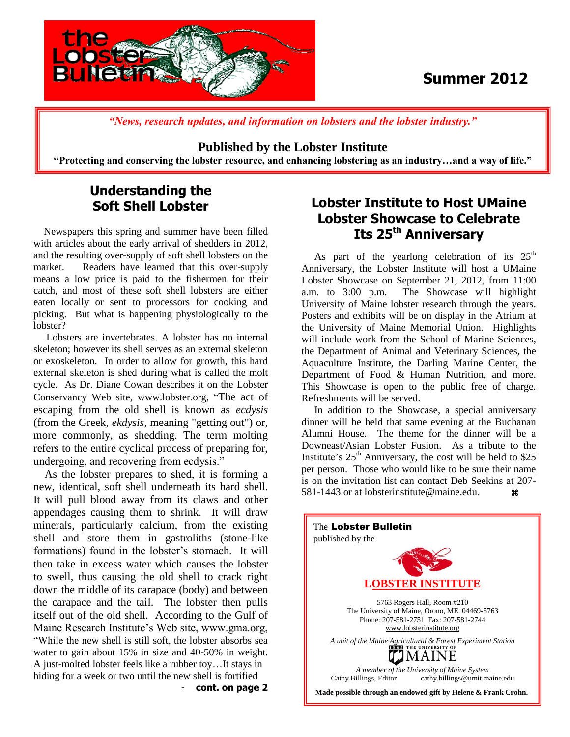

# **Summer 2012**

*"News, research updates, and information on lobsters and the lobster industry."*

#### **Published by the Lobster Institute**

**"Protecting and conserving the lobster resource, and enhancing lobstering as an industry…and a way of life."**

## **Understanding the Soft Shell Lobster**

 Newspapers this spring and summer have been filled with articles about the early arrival of shedders in 2012, and the resulting over-supply of soft shell lobsters on the market. Readers have learned that this over-supply means a low price is paid to the fishermen for their catch, and most of these soft shell lobsters are either eaten locally or sent to processors for cooking and picking. But what is happening physiologically to the lobster?

 Lobsters are invertebrates. A lobster has no internal skeleton; however its shell serves as an external skeleton or exoskeleton. In order to allow for growth, this hard external skeleton is shed during what is called the molt cycle. As Dr. Diane Cowan describes it on the Lobster Conservancy Web site, www.lobster.org, "The act of escaping from the old shell is known as *ecdysis* (from the Greek, *ekdysis,* meaning "getting out") or, more commonly, as shedding. The term molting refers to the entire cyclical process of preparing for, undergoing, and recovering from ecdysis."

 As the lobster prepares to shed, it is forming a new, identical, soft shell underneath its hard shell. It will pull blood away from its claws and other appendages causing them to shrink. It will draw minerals, particularly calcium, from the existing shell and store them in gastroliths (stone-like formations) found in the lobster's stomach. It will then take in excess water which causes the lobster to swell, thus causing the old shell to crack right down the middle of its carapace (body) and between the carapace and the tail. The lobster then pulls itself out of the old shell. According to the Gulf of Maine Research Institute's Web site, www.gma.org, "While the new shell is still soft, the lobster absorbs sea water to gain about 15% in size and 40-50% in weight. A just-molted lobster feels like a rubber toy…It stays in hiding for a week or two until the new shell is fortified - **cont. on page 2**

### **Lobster Institute to Host UMaine Lobster Showcase to Celebrate Its 25th Anniversary**

As part of the yearlong celebration of its  $25<sup>th</sup>$ Anniversary, the Lobster Institute will host a UMaine Lobster Showcase on September 21, 2012, from 11:00 a.m. to 3:00 p.m. The Showcase will highlight University of Maine lobster research through the years. Posters and exhibits will be on display in the Atrium at the University of Maine Memorial Union. Highlights will include work from the School of Marine Sciences, the Department of Animal and Veterinary Sciences, the Aquaculture Institute, the Darling Marine Center, the Department of Food & Human Nutrition, and more. This Showcase is open to the public free of charge. Refreshments will be served.

 In addition to the Showcase, a special anniversary dinner will be held that same evening at the Buchanan Alumni House. The theme for the dinner will be a Downeast/Asian Lobster Fusion. As a tribute to the Institute's  $25<sup>th</sup>$  Anniversary, the cost will be held to \$25 per person. Those who would like to be sure their name is on the invitation list can contact Deb Seekins at 207- 581-1443 or at lobsterinstitute@maine.edu.

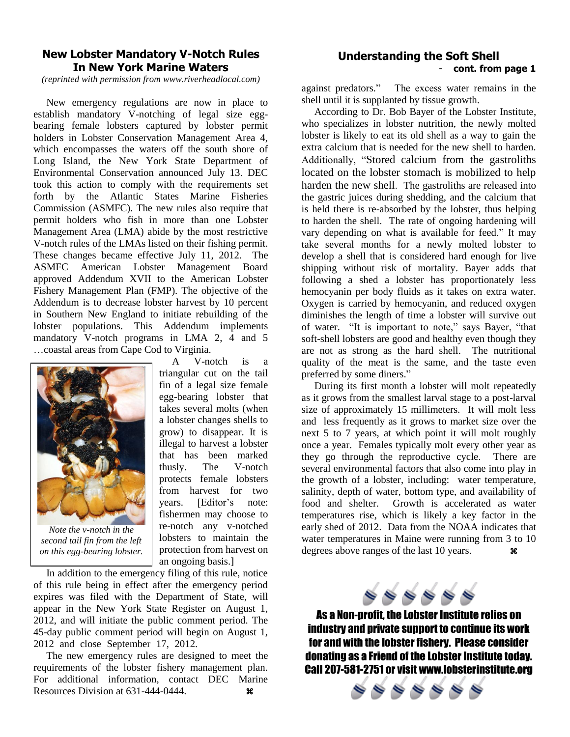### **New Lobster Mandatory V-Notch Rules In New York Marine Waters**

*(reprinted with permission from www.riverheadlocal.com)*

 New emergency regulations are now in place to establish mandatory V-notching of legal size eggbearing female lobsters captured by lobster permit holders in Lobster Conservation Management Area 4, which encompasses the waters off the south shore of Long Island, the New York State Department of Environmental Conservation announced July 13. DEC took this action to comply with the requirements set forth by the Atlantic States Marine Fisheries Commission (ASMFC). The new rules also require that permit holders who fish in more than one Lobster Management Area (LMA) abide by the most restrictive V-notch rules of the LMAs listed on their fishing permit. These changes became effective July 11, 2012. The ASMFC American Lobster Management Board approved Addendum XVII to the American Lobster Fishery Management Plan (FMP). The objective of the Addendum is to decrease lobster harvest by 10 percent in Southern New England to initiate rebuilding of the lobster populations. This Addendum implements mandatory V-notch programs in LMA 2, 4 and 5 …coastal areas from Cape Cod to Virginia.



*Note the v-notch in the second tail fin from the left on this egg-bearing lobster.*

 A V-notch is a triangular cut on the tail fin of a legal size female egg-bearing lobster that takes several molts (when a lobster changes shells to grow) to disappear. It is illegal to harvest a lobster that has been marked thusly. The V-notch protects female lobsters from harvest for two years. [Editor's note: fishermen may choose to re-notch any v-notched lobsters to maintain the protection from harvest on an ongoing basis.]

 In addition to the emergency filing of this rule, notice of this rule being in effect after the emergency period expires was filed with the Department of State, will appear in the New York State Register on August 1, 2012, and will initiate the public comment period. The 45-day public comment period will begin on August 1, 2012 and close September 17, 2012.

 The new emergency rules are designed to meet the requirements of the lobster fishery management plan. For additional information, contact DEC Marine Resources Division at 631-444-0444.

### **Understanding the Soft Shell** - **cont. from page 1**

against predators." The excess water remains in the shell until it is supplanted by tissue growth.

 According to Dr. Bob Bayer of the Lobster Institute, who specializes in lobster nutrition, the newly molted lobster is likely to eat its old shell as a way to gain the extra calcium that is needed for the new shell to harden. Additionally, "Stored calcium from the gastroliths located on the lobster stomach is mobilized to help harden the new shell. The gastroliths are released into the gastric juices during shedding, and the calcium that is held there is re-absorbed by the lobster, thus helping to harden the shell. The rate of ongoing hardening will vary depending on what is available for feed." It may take several months for a newly molted lobster to develop a shell that is considered hard enough for live shipping without risk of mortality. Bayer adds that following a shed a lobster has proportionately less hemocyanin per body fluids as it takes on extra water. Oxygen is carried by hemocyanin, and reduced oxygen diminishes the length of time a lobster will survive out of water. "It is important to note," says Bayer, "that soft-shell lobsters are good and healthy even though they are not as strong as the hard shell. The nutritional quality of the meat is the same, and the taste even preferred by some diners."

 During its first month a lobster will molt repeatedly as it grows from the smallest larval stage to a post-larval size of approximately 15 millimeters. It will molt less and less frequently as it grows to market size over the next 5 to 7 years, at which point it will molt roughly once a year. Females typically molt every other year as they go through the reproductive cycle. There are several environmental factors that also come into play in the growth of a lobster, including: water temperature, salinity, depth of water, bottom type, and availability of food and shelter. Growth is accelerated as water temperatures rise, which is likely a key factor in the early shed of 2012. Data from the NOAA indicates that water temperatures in Maine were running from 3 to 10 degrees above ranges of the last 10 years.  $\mathcal{H}$ 



As a Non-profit, the Lobster Institute relies on industry and private support to continue its work for and with the lobster fishery. Please consider donating as a Friend of the Lobster Institute today. Call 207-581-2751 or visit www.lobsterinstitute.org

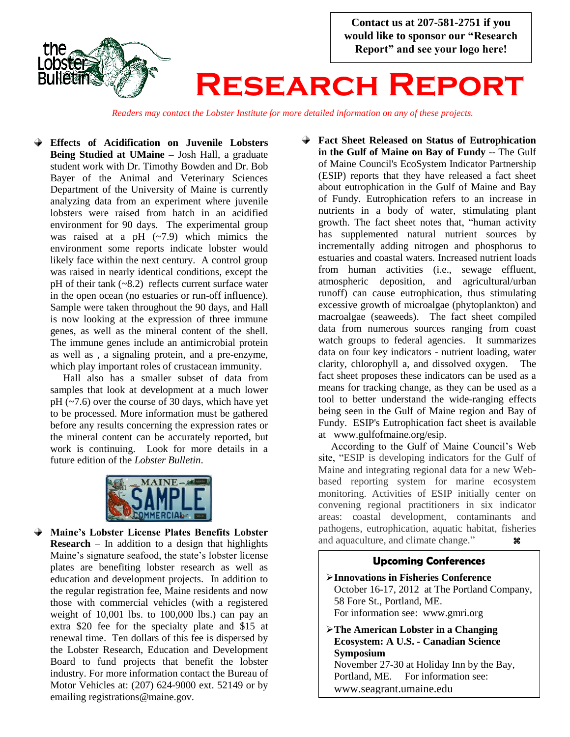

*Readers may contact the Lobster Institute for more detailed information on any of these projects.*

**Effects of Acidification on Juvenile Lobsters Being Studied at UMaine – Josh Hall, a graduate** student work with Dr. Timothy Bowden and Dr. Bob Bayer of the Animal and Veterinary Sciences Department of the University of Maine is currently analyzing data from an experiment where juvenile lobsters were raised from hatch in an acidified environment for 90 days. The experimental group was raised at a pH  $(-7.9)$  which mimics the environment some reports indicate lobster would likely face within the next century. A control group was raised in nearly identical conditions, except the pH of their tank  $(-8.2)$  reflects current surface water in the open ocean (no estuaries or run-off influence). Sample were taken throughout the 90 days, and Hall is now looking at the expression of three immune genes, as well as the mineral content of the shell. The immune genes include an antimicrobial protein as well as , a signaling protein, and a pre-enzyme, which play important roles of crustacean immunity.

Hall also has a smaller subset of data from samples that look at development at a much lower  $pH$  ( $\sim$ 7.6) over the course of 30 days, which have yet to be processed. More information must be gathered before any results concerning the expression rates or the mineral content can be accurately reported, but work is continuing. Look for more details in a future edition of the *Lobster Bulletin*.



**Maine's Lobster License Plates Benefits Lobster Research** – In addition to a design that highlights Maine's signature seafood, the state's lobster license plates are benefiting lobster research as well as education and development projects. In addition to the regular registration fee, Maine residents and now those with commercial vehicles (with a registered weight of 10,001 lbs. to 100,000 lbs.) can pay an extra \$20 fee for the specialty plate and \$15 at renewal time. Ten dollars of this fee is dispersed by the Lobster Research, Education and Development Board to fund projects that benefit the lobster industry. For more information contact the Bureau of Motor Vehicles at: (207) 624-9000 ext. 52149 or by emailing registrations@maine.gov.

**Fact Sheet Released on Status of Eutrophication in the Gulf of Maine on Bay of Fundy** -- The Gulf of Maine Council's EcoSystem Indicator Partnership (ESIP) reports that they have released a fact sheet about eutrophication in the Gulf of Maine and Bay of Fundy. Eutrophication refers to an increase in nutrients in a body of water, stimulating plant growth. The fact sheet notes that, "human activity has supplemented natural nutrient sources by incrementally adding nitrogen and phosphorus to estuaries and coastal waters. Increased nutrient loads from human activities (i.e., sewage effluent, atmospheric deposition, and agricultural/urban runoff) can cause eutrophication, thus stimulating excessive growth of microalgae (phytoplankton) and macroalgae (seaweeds). The fact sheet compiled data from numerous sources ranging from coast watch groups to federal agencies. It summarizes data on four key indicators - nutrient loading, water clarity, chlorophyll a, and dissolved oxygen. The fact sheet proposes these indicators can be used as a means for tracking change, as they can be used as a tool to better understand the wide-ranging effects being seen in the Gulf of Maine region and Bay of Fundy. ESIP's Eutrophication fact sheet is available at www.gulfofmaine.org/esip. .

 According to the Gulf of Maine Council's Web site, "ESIP is developing indicators for the Gulf of Maine and integrating regional data for a new Webbased reporting system for marine ecosystem monitoring. Activities of ESIP initially center on convening regional practitioners in six indicator areas: coastal development, contaminants and pathogens, eutrophication, aquatic habitat, fisheries and aquaculture, and climate change."

#### **Upcoming Conferences**

- **Innovations in Fisheries Conference** October 16-17, 2012 at The Portland Company, 58 Fore St., Portland, ME. For information see: www.gmri.org
- **The American Lobster in a Changing Ecosystem: A U.S. - Canadian Science Symposium**

November 27-30 at Holiday Inn by the Bay, Portland, ME. For information see: www.seagrant.umaine.edu